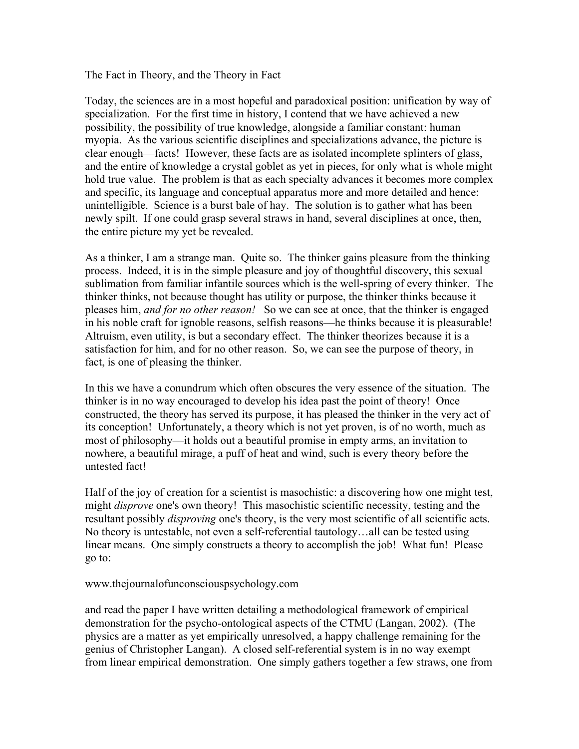The Fact in Theory, and the Theory in Fact

Today, the sciences are in a most hopeful and paradoxical position: unification by way of specialization. For the first time in history, I contend that we have achieved a new possibility, the possibility of true knowledge, alongside a familiar constant: human myopia. As the various scientific disciplines and specializations advance, the picture is clear enough––facts! However, these facts are as isolated incomplete splinters of glass, and the entire of knowledge a crystal goblet as yet in pieces, for only what is whole might hold true value. The problem is that as each specialty advances it becomes more complex and specific, its language and conceptual apparatus more and more detailed and hence: unintelligible. Science is a burst bale of hay. The solution is to gather what has been newly spilt. If one could grasp several straws in hand, several disciplines at once, then, the entire picture my yet be revealed.

As a thinker, I am a strange man. Quite so. The thinker gains pleasure from the thinking process. Indeed, it is in the simple pleasure and joy of thoughtful discovery, this sexual sublimation from familiar infantile sources which is the well-spring of every thinker. The thinker thinks, not because thought has utility or purpose, the thinker thinks because it pleases him, *and for no other reason!* So we can see at once, that the thinker is engaged in his noble craft for ignoble reasons, selfish reasons––he thinks because it is pleasurable! Altruism, even utility, is but a secondary effect. The thinker theorizes because it is a satisfaction for him, and for no other reason. So, we can see the purpose of theory, in fact, is one of pleasing the thinker.

In this we have a conundrum which often obscures the very essence of the situation. The thinker is in no way encouraged to develop his idea past the point of theory! Once constructed, the theory has served its purpose, it has pleased the thinker in the very act of its conception! Unfortunately, a theory which is not yet proven, is of no worth, much as most of philosophy––it holds out a beautiful promise in empty arms, an invitation to nowhere, a beautiful mirage, a puff of heat and wind, such is every theory before the untested fact!

Half of the joy of creation for a scientist is masochistic: a discovering how one might test, might *disprove* one's own theory! This masochistic scientific necessity, testing and the resultant possibly *disproving* one's theory, is the very most scientific of all scientific acts. No theory is untestable, not even a self-referential tautology…all can be tested using linear means. One simply constructs a theory to accomplish the job! What fun! Please go to:

## www.thejournalofunconsciouspsychology.com

and read the paper I have written detailing a methodological framework of empirical demonstration for the psycho-ontological aspects of the CTMU (Langan, 2002). (The physics are a matter as yet empirically unresolved, a happy challenge remaining for the genius of Christopher Langan). A closed self-referential system is in no way exempt from linear empirical demonstration. One simply gathers together a few straws, one from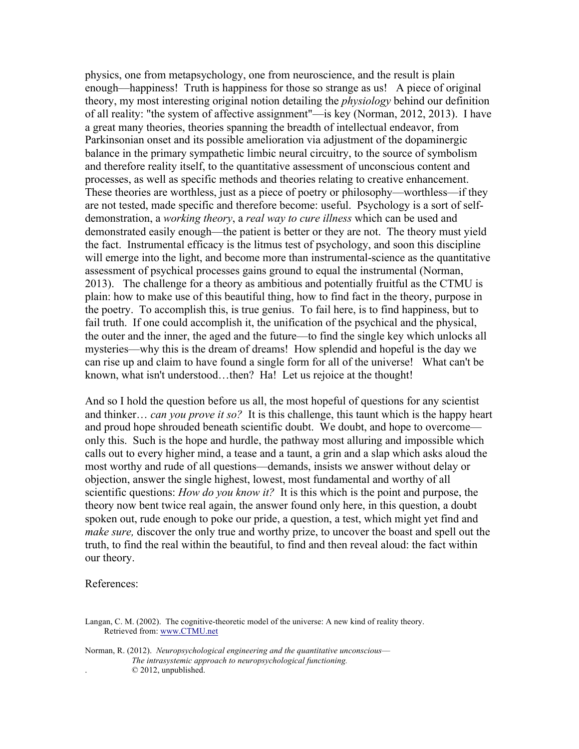physics, one from metapsychology, one from neuroscience, and the result is plain enough––happiness! Truth is happiness for those so strange as us! A piece of original theory, my most interesting original notion detailing the *physiology* behind our definition of all reality: "the system of affective assignment"––is key (Norman, 2012, 2013). I have a great many theories, theories spanning the breadth of intellectual endeavor, from Parkinsonian onset and its possible amelioration via adjustment of the dopaminergic balance in the primary sympathetic limbic neural circuitry, to the source of symbolism and therefore reality itself, to the quantitative assessment of unconscious content and processes, as well as specific methods and theories relating to creative enhancement. These theories are worthless, just as a piece of poetry or philosophy––worthless––if they are not tested, made specific and therefore become: useful. Psychology is a sort of selfdemonstration, a *working theory*, a *real way to cure illness* which can be used and demonstrated easily enough––the patient is better or they are not. The theory must yield the fact. Instrumental efficacy is the litmus test of psychology, and soon this discipline will emerge into the light, and become more than instrumental-science as the quantitative assessment of psychical processes gains ground to equal the instrumental (Norman, 2013). The challenge for a theory as ambitious and potentially fruitful as the CTMU is plain: how to make use of this beautiful thing, how to find fact in the theory, purpose in the poetry. To accomplish this, is true genius. To fail here, is to find happiness, but to fail truth. If one could accomplish it, the unification of the psychical and the physical, the outer and the inner, the aged and the future––to find the single key which unlocks all mysteries––why this is the dream of dreams! How splendid and hopeful is the day we can rise up and claim to have found a single form for all of the universe! What can't be known, what isn't understood…then? Ha! Let us rejoice at the thought!

And so I hold the question before us all, the most hopeful of questions for any scientist and thinker… *can you prove it so?* It is this challenge, this taunt which is the happy heart and proud hope shrouded beneath scientific doubt. We doubt, and hope to overcome only this. Such is the hope and hurdle, the pathway most alluring and impossible which calls out to every higher mind, a tease and a taunt, a grin and a slap which asks aloud the most worthy and rude of all questions––demands, insists we answer without delay or objection, answer the single highest, lowest, most fundamental and worthy of all scientific questions: *How do you know it?* It is this which is the point and purpose, the theory now bent twice real again, the answer found only here, in this question, a doubt spoken out, rude enough to poke our pride, a question, a test, which might yet find and *make sure,* discover the only true and worthy prize, to uncover the boast and spell out the truth, to find the real within the beautiful, to find and then reveal aloud: the fact within our theory.

References:

- Langan, C. M. (2002). The cognitive-theoretic model of the universe: A new kind of reality theory. Retrieved from: www.CTMU.net
- Norman, R. (2012). *Neuropsychological engineering and the quantitative unconscious–– The intrasystemic approach to neuropsychological functioning.*  $© 2012$ , unpublished.